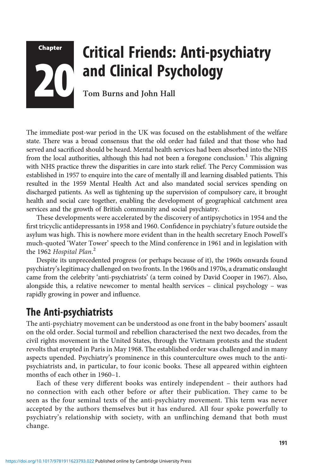# **Chapter** Critical Friends: Anti-psychiatry 20 and Clinical Psychology Tom Burns and John Hall

The immediate post-war period in the UK was focused on the establishment of the welfare state. There was a broad consensus that the old order had failed and that those who had served and sacrificed should be heard. Mental health services had been absorbed into the NHS from the local authorities, although this had not been a foregone conclusion.<sup>1</sup> This aligning with NHS practice threw the disparities in care into stark relief. The Percy Commission was established in 1957 to enquire into the care of mentally ill and learning disabled patients. This resulted in the 1959 Mental Health Act and also mandated social services spending on discharged patients. As well as tightening up the supervision of compulsory care, it brought health and social care together, enabling the development of geographical catchment area services and the growth of British community and social psychiatry.

These developments were accelerated by the discovery of antipsychotics in 1954 and the first tricyclic antidepressants in 1958 and 1960. Confidence in psychiatry's future outside the asylum was high. This is nowhere more evident than in the health secretary Enoch Powell's much-quoted 'Water Tower' speech to the Mind conference in 1961 and in legislation with the 1962 Hospital Plan.<sup>2</sup>

Despite its unprecedented progress (or perhaps because of it), the 1960s onwards found psychiatry's legitimacy challenged on two fronts. In the 1960s and 1970s, a dramatic onslaught came from the celebrity 'anti-psychiatrists' (a term coined by David Cooper in 1967). Also, alongside this, a relative newcomer to mental health services – clinical psychology – was rapidly growing in power and influence.

## The Anti-psychiatrists

The anti-psychiatry movement can be understood as one front in the baby boomers' assault on the old order. Social turmoil and rebellion characterised the next two decades, from the civil rights movement in the United States, through the Vietnam protests and the student revolts that erupted in Paris in May 1968. The established order was challenged and in many aspects upended. Psychiatry's prominence in this counterculture owes much to the antipsychiatrists and, in particular, to four iconic books. These all appeared within eighteen months of each other in 1960–1.

Each of these very different books was entirely independent – their authors had no connection with each other before or after their publication. They came to be seen as the four seminal texts of the anti-psychiatry movement. This term was never accepted by the authors themselves but it has endured. All four spoke powerfully to psychiatry's relationship with society, with an unflinching demand that both must change.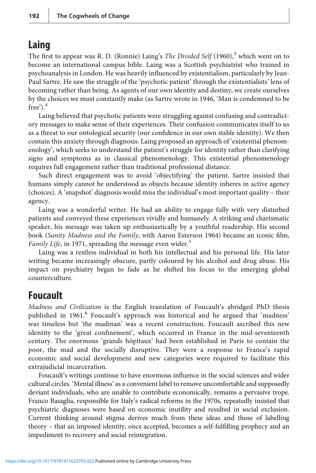#### Laing

The first to appear was R. D. (Ronnie) Laing's *The Divided Self* (1960),<sup>3</sup> which went on to become an international campus bible. Laing was a Scottish psychiatrist who trained in psychoanalysis in London. He was heavily influenced by existentialism, particularly by Jean-Paul Sartre. He saw the struggle of the 'psychotic patient' through the existentialists' lens of becoming rather than being. As agents of our own identity and destiny, we create ourselves by the choices we must constantly make (as Sartre wrote in 1946, 'Man is condemned to be  $free$ ). $<sup>4</sup>$ </sup>

Laing believed that psychotic patients were struggling against confusing and contradictory messages to make sense of their experiences. Their confusion communicates itself to us as a threat to our ontological security (our confidence in our own stable identity). We then contain this anxiety through diagnosis. Laing proposed an approach of 'existential phenomenology', which seeks to understand the patient's struggle for identity rather than clarifying signs and symptoms as in classical phenomenology. This existential phenomenology requires full engagement rather than traditional professional distance.

Such direct engagement was to avoid 'objectifying' the patient. Sartre insisted that humans simply cannot be understood as objects because identity inheres in active agency (choices). A 'snapshot' diagnosis would miss the individual's most important quality – their agency.

Laing was a wonderful writer. He had an ability to engage fully with very disturbed patients and conveyed these experiences vividly and humanely. A striking and charismatic speaker, his message was taken up enthusiastically by a youthful readership. His second book (Sanity Madness and the Family, with Aaron Esterson 1964) became an iconic film, Family Life, in 1971, spreading the message even wider.<sup>5</sup>

Laing was a restless individual in both his intellectual and his personal life. His later writing became increasingly obscure, partly coloured by his alcohol and drug abuse. His impact on psychiatry began to fade as he shifted his focus to the emerging global counterculture.

#### Foucault

Madness and Civilization is the English translation of Foucault's abridged PhD thesis published in 1961.<sup>6</sup> Foucault's approach was historical and he argued that 'madness' was timeless but 'the madman' was a recent construction. Foucault ascribed this new identity to the 'great confinement', which occurred in France in the mid-seventeenth century. The enormous 'grands hôpitaux' had been established in Paris to contain the poor, the mad and the socially disruptive. They were a response to France's rapid economic and social development and new categories were required to facilitate this extrajudicial incarceration.

Foucault's writings continue to have enormous influence in the social sciences and wider cultural circles. 'Mental illness' as a convenient label to remove uncomfortable and supposedly deviant individuals, who are unable to contribute economically, remains a pervasive trope. Franco Basaglia, responsible for Italy's radical reforms in the 1970s, repeatedly insisted that psychiatric diagnoses were based on economic inutility and resulted in social exclusion. Current thinking around stigma derives much from these ideas and those of labelling theory – that an imposed identity, once accepted, becomes a self-fulfilling prophecy and an impediment to recovery and social reintegration.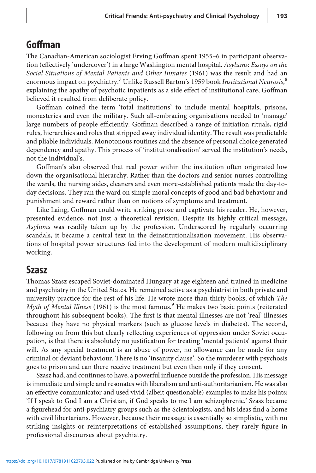#### Goffman

The Canadian-American sociologist Erving Goffman spent 1955–6 in participant observation (effectively 'undercover') in a large Washington mental hospital. Asylums: Essays on the Social Situations of Mental Patients and Other Inmates (1961) was the result and had an enormous impact on psychiatry.<sup>7</sup> Unlike Russell Barton's 1959 book *Institutional Neurosis*,  $^8$ explaining the apathy of psychotic inpatients as a side effect of institutional care, Goffman believed it resulted from deliberate policy.

Goffman coined the term 'total institutions' to include mental hospitals, prisons, monasteries and even the military. Such all-embracing organisations needed to 'manage' large numbers of people efficiently. Goffman described a range of initiation rituals, rigid rules, hierarchies and roles that stripped away individual identity. The result was predictable and pliable individuals. Monotonous routines and the absence of personal choice generated dependency and apathy. This process of 'institutionalisation' served the institution's needs, not the individual's.

Goffman's also observed that real power within the institution often originated low down the organisational hierarchy. Rather than the doctors and senior nurses controlling the wards, the nursing aides, cleaners and even more-established patients made the day-today decisions. They ran the ward on simple moral concepts of good and bad behaviour and punishment and reward rather than on notions of symptoms and treatment.

Like Laing, Goffman could write striking prose and captivate his reader. He, however, presented evidence, not just a theoretical revision. Despite its highly critical message, Asylums was readily taken up by the profession. Underscored by regularly occurring scandals, it became a central text in the deinstitutionalisation movement. His observations of hospital power structures fed into the development of modern multidisciplinary working.

#### Szasz

Thomas Szasz escaped Soviet-dominated Hungary at age eighteen and trained in medicine and psychiatry in the United States. He remained active as a psychiatrist in both private and university practice for the rest of his life. He wrote more than thirty books, of which The Myth of Mental Illness (1961) is the most famous.<sup>9</sup> He makes two basic points (reiterated throughout his subsequent books). The first is that mental illnesses are not 'real' illnesses because they have no physical markers (such as glucose levels in diabetes). The second, following on from this but clearly reflecting experiences of oppression under Soviet occupation, is that there is absolutely no justification for treating 'mental patients' against their will. As any special treatment is an abuse of power, no allowance can be made for any criminal or deviant behaviour. There is no 'insanity clause'. So the murderer with psychosis goes to prison and can there receive treatment but even then only if they consent.

Szasz had, and continues to have, a powerful influence outside the profession. His message is immediate and simple and resonates with liberalism and anti-authoritarianism. He was also an effective communicator and used vivid (albeit questionable) examples to make his points: 'If I speak to God I am a Christian, if God speaks to me I am schizophrenic.' Szasz became a figurehead for anti-psychiatry groups such as the Scientologists, and his ideas find a home with civil libertarians. However, because their message is essentially so simplistic, with no striking insights or reinterpretations of established assumptions, they rarely figure in professional discourses about psychiatry.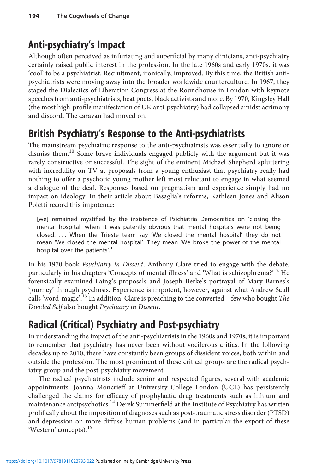#### Anti-psychiatry's Impact

Although often perceived as infuriating and superficial by many clinicians, anti-psychiatry certainly raised public interest in the profession. In the late 1960s and early 1970s, it was 'cool' to be a psychiatrist. Recruitment, ironically, improved. By this time, the British antipsychiatrists were moving away into the broader worldwide counterculture. In 1967, they staged the Dialectics of Liberation Congress at the Roundhouse in London with keynote speeches from anti-psychiatrists, beat poets, black activists and more. By 1970, Kingsley Hall (the most high-profile manifestation of UK anti-psychiatry) had collapsed amidst acrimony and discord. The caravan had moved on.

#### British Psychiatry's Response to the Anti-psychiatrists

The mainstream psychiatric response to the anti-psychiatrists was essentially to ignore or dismiss them.<sup>10</sup> Some brave individuals engaged publicly with the argument but it was rarely constructive or successful. The sight of the eminent Michael Shepherd spluttering with incredulity on TV at proposals from a young enthusiast that psychiatry really had nothing to offer a psychotic young mother left most reluctant to engage in what seemed a dialogue of the deaf. Responses based on pragmatism and experience simply had no impact on ideology. In their article about Basaglia's reforms, Kathleen Jones and Alison Poletti record this impotence:

[we] remained mystified by the insistence of Psichiatria Democratica on 'closing the mental hospital' when it was patently obvious that mental hospitals were not being closed. ... When the Trieste team say 'We closed the mental hospital' they do not mean 'We closed the mental hospital'. They mean 'We broke the power of the mental hospital over the patients'.<sup>11</sup>

In his 1970 book Psychiatry in Dissent, Anthony Clare tried to engage with the debate, particularly in his chapters 'Concepts of mental illness' and 'What is schizophrenia?'<sup>12</sup> He forensically examined Laing's proposals and Joseph Berke's portrayal of Mary Barnes's 'journey' through psychosis. Experience is impotent, however, against what Andrew Scull calls 'word-magic'.<sup>13</sup> In addition, Clare is preaching to the converted - few who bought The Divided Self also bought Psychiatry in Dissent.

### Radical (Critical) Psychiatry and Post-psychiatry

In understanding the impact of the anti-psychiatrists in the 1960s and 1970s, it is important to remember that psychiatry has never been without vociferous critics. In the following decades up to 2010, there have constantly been groups of dissident voices, both within and outside the profession. The most prominent of these critical groups are the radical psychiatry group and the post-psychiatry movement.

The radical psychiatrists include senior and respected figures, several with academic appointments. Joanna Moncrieff at University College London (UCL) has persistently challenged the claims for efficacy of prophylactic drug treatments such as lithium and maintenance antipsychotics.<sup>14</sup> Derek Summerfield at the Institute of Psychiatry has written prolifically about the imposition of diagnoses such as post-traumatic stress disorder (PTSD) and depression on more diffuse human problems (and in particular the export of these 'Western' concepts).<sup>15</sup>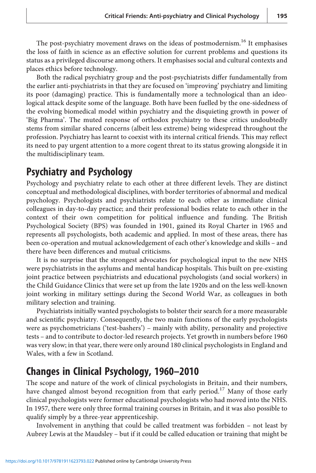The post-psychiatry movement draws on the ideas of postmodernism.<sup>16</sup> It emphasises the loss of faith in science as an effective solution for current problems and questions its status as a privileged discourse among others. It emphasises social and cultural contexts and places ethics before technology.

Both the radical psychiatry group and the post-psychiatrists differ fundamentally from the earlier anti-psychiatrists in that they are focused on 'improving' psychiatry and limiting its poor (damaging) practice. This is fundamentally more a technological than an ideological attack despite some of the language. Both have been fuelled by the one-sidedness of the evolving biomedical model within psychiatry and the disquieting growth in power of 'Big Pharma'. The muted response of orthodox psychiatry to these critics undoubtedly stems from similar shared concerns (albeit less extreme) being widespread throughout the profession. Psychiatry has learnt to coexist with its internal critical friends. This may reflect its need to pay urgent attention to a more cogent threat to its status growing alongside it in the multidisciplinary team.

#### Psychiatry and Psychology

Psychology and psychiatry relate to each other at three different levels. They are distinct conceptual and methodological disciplines, with border territories of abnormal and medical psychology. Psychologists and psychiatrists relate to each other as immediate clinical colleagues in day-to-day practice; and their professional bodies relate to each other in the context of their own competition for political influence and funding. The British Psychological Society (BPS) was founded in 1901, gained its Royal Charter in 1965 and represents all psychologists, both academic and applied. In most of these areas, there has been co-operation and mutual acknowledgement of each other's knowledge and skills – and there have been differences and mutual criticisms.

It is no surprise that the strongest advocates for psychological input to the new NHS were psychiatrists in the asylums and mental handicap hospitals. This built on pre-existing joint practice between psychiatrists and educational psychologists (and social workers) in the Child Guidance Clinics that were set up from the late 1920s and on the less well-known joint working in military settings during the Second World War, as colleagues in both military selection and training.

Psychiatrists initially wanted psychologists to bolster their search for a more measurable and scientific psychiatry. Consequently, the two main functions of the early psychologists were as psychometricians ('test-bashers') – mainly with ability, personality and projective tests – and to contribute to doctor-led research projects. Yet growth in numbers before 1960 was very slow; in that year, there were only around 180 clinical psychologists in England and Wales, with a few in Scotland.

#### Changes in Clinical Psychology, 1960–2010

The scope and nature of the work of clinical psychologists in Britain, and their numbers, have changed almost beyond recognition from that early period.<sup>17</sup> Many of those early clinical psychologists were former educational psychologists who had moved into the NHS. In 1957, there were only three formal training courses in Britain, and it was also possible to qualify simply by a three-year apprenticeship.

Involvement in anything that could be called treatment was forbidden – not least by Aubrey Lewis at the Maudsley – but if it could be called education or training that might be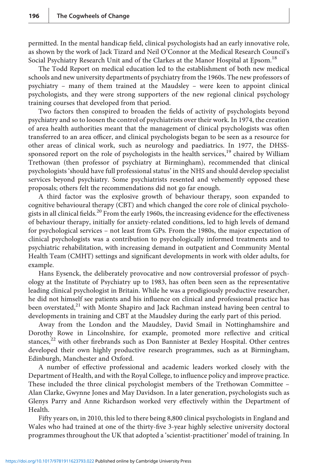permitted. In the mental handicap field, clinical psychologists had an early innovative role, as shown by the work of Jack Tizard and Neil O'Connor at the Medical Research Council's Social Psychiatry Research Unit and of the Clarkes at the Manor Hospital at Epsom.<sup>18</sup>

The Todd Report on medical education led to the establishment of both new medical schools and new university departments of psychiatry from the 1960s. The new professors of psychiatry – many of them trained at the Maudsley – were keen to appoint clinical psychologists, and they were strong supporters of the new regional clinical psychology training courses that developed from that period.

Two factors then conspired to broaden the fields of activity of psychologists beyond psychiatry and so to loosen the control of psychiatrists over their work. In 1974, the creation of area health authorities meant that the management of clinical psychologists was often transferred to an area officer, and clinical psychologists began to be seen as a resource for other areas of clinical work, such as neurology and paediatrics. In 1977, the DHSSsponsored report on the role of psychologists in the health services,<sup>19</sup> chaired by William Trethowan (then professor of psychiatry at Birmingham), recommended that clinical psychologists 'should have full professional status' in the NHS and should develop specialist services beyond psychiatry. Some psychiatrists resented and vehemently opposed these proposals; others felt the recommendations did not go far enough.

A third factor was the explosive growth of behaviour therapy, soon expanded to cognitive behavioural therapy (CBT) and which changed the core role of clinical psychologists in all clinical fields.<sup>20</sup> From the early 1960s, the increasing evidence for the effectiveness of behaviour therapy, initially for anxiety-related conditions, led to high levels of demand for psychological services – not least from GPs. From the 1980s, the major expectation of clinical psychologists was a contribution to psychologically informed treatments and to psychiatric rehabilitation, with increasing demand in outpatient and Community Mental Health Team (CMHT) settings and significant developments in work with older adults, for example.

Hans Eysenck, the deliberately provocative and now controversial professor of psychology at the Institute of Psychiatry up to 1983, has often been seen as the representative leading clinical psychologist in Britain. While he was a prodigiously productive researcher, he did not himself see patients and his influence on clinical and professional practice has been overstated,<sup>21</sup> with Monte Shapiro and Jack Rachman instead having been central to developments in training and CBT at the Maudsley during the early part of this period.

Away from the London and the Maudsley, David Smail in Nottinghamshire and Dorothy Rowe in Lincolnshire, for example, promoted more reflective and critical stances, $^{22}$  with other firebrands such as Don Bannister at Bexley Hospital. Other centres developed their own highly productive research programmes, such as at Birmingham, Edinburgh, Manchester and Oxford.

A number of effective professional and academic leaders worked closely with the Department of Health, and with the Royal College, to influence policy and improve practice. These included the three clinical psychologist members of the Trethowan Committee – Alan Clarke, Gwynne Jones and May Davidson. In a later generation, psychologists such as Glenys Parry and Anne Richardson worked very effectively within the Department of Health.

Fifty years on, in 2010, this led to there being 8,800 clinical psychologists in England and Wales who had trained at one of the thirty-five 3-year highly selective university doctoral programmes throughout the UK that adopted a 'scientist-practitioner' model of training. In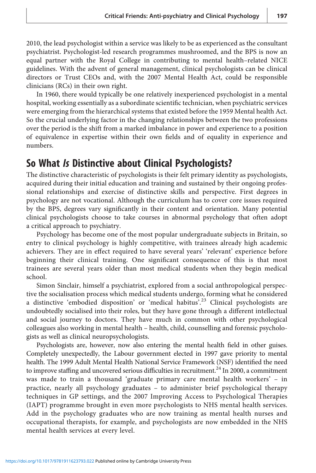2010, the lead psychologist within a service was likely to be as experienced as the consultant psychiatrist. Psychologist-led research programmes mushroomed, and the BPS is now an equal partner with the Royal College in contributing to mental health–related NICE guidelines. With the advent of general management, clinical psychologists can be clinical directors or Trust CEOs and, with the 2007 Mental Health Act, could be responsible clinicians (RCs) in their own right.

In 1960, there would typically be one relatively inexperienced psychologist in a mental hospital, working essentially as a subordinate scientific technician, when psychiatric services were emerging from the hierarchical systems that existed before the 1959 Mental health Act. So the crucial underlying factor in the changing relationships between the two professions over the period is the shift from a marked imbalance in power and experience to a position of equivalence in expertise within their own fields and of equality in experience and numbers.

#### So What Is Distinctive about Clinical Psychologists?

The distinctive characteristic of psychologists is their felt primary identity as psychologists, acquired during their initial education and training and sustained by their ongoing professional relationships and exercise of distinctive skills and perspective. First degrees in psychology are not vocational. Although the curriculum has to cover core issues required by the BPS, degrees vary significantly in their content and orientation. Many potential clinical psychologists choose to take courses in abnormal psychology that often adopt a critical approach to psychiatry.

Psychology has become one of the most popular undergraduate subjects in Britain, so entry to clinical psychology is highly competitive, with trainees already high academic achievers. They are in effect required to have several years' 'relevant' experience before beginning their clinical training. One significant consequence of this is that most trainees are several years older than most medical students when they begin medical school.

Simon Sinclair, himself a psychiatrist, explored from a social anthropological perspective the socialisation process which medical students undergo, forming what he considered a distinctive 'embodied disposition' or 'medical habitus'.<sup>23</sup> Clinical psychologists are undoubtedly socialised into their roles, but they have gone through a different intellectual and social journey to doctors. They have much in common with other psychological colleagues also working in mental health – health, child, counselling and forensic psychologists as well as clinical neuropsychologists.

Psychologists are, however, now also entering the mental health field in other guises. Completely unexpectedly, the Labour government elected in 1997 gave priority to mental health. The 1999 Adult Mental Health National Service Framework (NSF) identified the need to improve staffing and uncovered serious difficulties in recruitment.<sup>24</sup> In 2000, a commitment was made to train a thousand 'graduate primary care mental health workers' – in practice, nearly all psychology graduates – to administer brief psychological therapy techniques in GP settings, and the 2007 Improving Access to Psychological Therapies (IAPT) programme brought in even more psychologists to NHS mental health services. Add in the psychology graduates who are now training as mental health nurses and occupational therapists, for example, and psychologists are now embedded in the NHS mental health services at every level.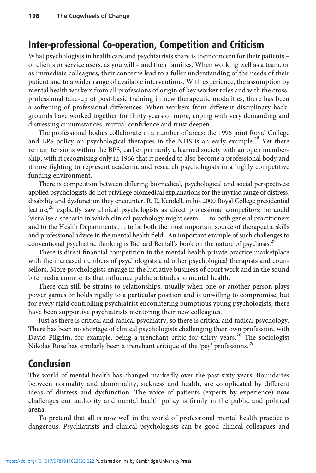#### Inter-professional Co-operation, Competition and Criticism

What psychologists in health care and psychiatrists share is their concern for their patients – or clients or service users, as you will – and their families. When working well as a team, or as immediate colleagues, their concerns lead to a fuller understanding of the needs of their patient and to a wider range of available interventions. With experience, the assumption by mental health workers from all professions of origin of key worker roles and with the crossprofessional take-up of post-basic training in new therapeutic modalities, there has been a softening of professional differences. When workers from different disciplinary backgrounds have worked together for thirty years or more, coping with very demanding and distressing circumstances, mutual confidence and trust deepen.

The professional bodies collaborate in a number of areas: the 1995 joint Royal College and BPS policy on psychological therapies in the NHS is an early example.<sup>25</sup> Yet there remain tensions within the BPS, earlier primarily a learned society with an open membership, with it recognising only in 1966 that it needed to also become a professional body and it now fighting to represent academic and research psychologists in a highly competitive funding environment.

There is competition between differing biomedical, psychological and social perspectives: applied psychologists do not privilege biomedical explanations for the myriad range of distress, disability and dysfunction they encounter. R. E. Kendell, in his 2000 Royal College presidential lecture,<sup>26</sup> explicitly saw clinical psychologists as direct professional competitors; he could 'visualise a scenario in which clinical psychology might seem ... to both general practitioners and to the Health Departments ... to be both the most important source of therapeutic skills and professional advice in the mental health field'. An important example of such challenges to conventional psychiatric thinking is Richard Bentall's book on the nature of psychosis.<sup>27</sup>

There is direct financial competition in the mental health private practice marketplace with the increased numbers of psychologists and other psychological therapists and counsellors. More psychologists engage in the lucrative business of court work and in the sound bite media comments that influence public attitudes to mental health.

There can still be strains to relationships, usually when one or another person plays power games or holds rigidly to a particular position and is unwilling to compromise; but for every rigid controlling psychiatrist encountering bumptious young psychologists, there have been supportive psychiatrists mentoring their new colleagues.

Just as there is critical and radical psychiatry, so there is critical and radical psychology. There has been no shortage of clinical psychologists challenging their own profession, with David Pilgrim, for example, being a trenchant critic for thirty years.<sup>28</sup> The sociologist Nikolas Rose has similarly been a trenchant critique of the 'psy' professions.<sup>29</sup>

#### Conclusion

The world of mental health has changed markedly over the past sixty years. Boundaries between normality and abnormality, sickness and health, are complicated by different ideas of distress and dysfunction. The voice of patients (experts by experience) now challenges our authority and mental health policy is firmly in the public and political arena.

To pretend that all is now well in the world of professional mental health practice is dangerous. Psychiatrists and clinical psychologists can be good clinical colleagues and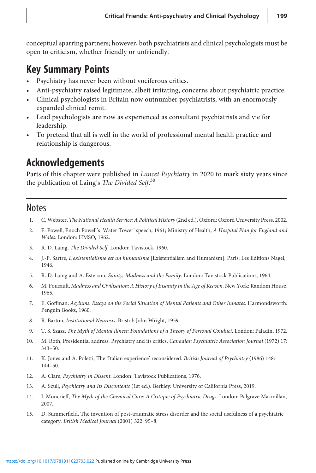conceptual sparring partners; however, both psychiatrists and clinical psychologists must be open to criticism, whether friendly or unfriendly.

### Key Summary Points

- Psychiatry has never been without vociferous critics.
- Anti-psychiatry raised legitimate, albeit irritating, concerns about psychiatric practice.
- Clinical psychologists in Britain now outnumber psychiatrists, with an enormously expanded clinical remit.
- Lead psychologists are now as experienced as consultant psychiatrists and vie for leadership.
- To pretend that all is well in the world of professional mental health practice and relationship is dangerous.

### Acknowledgements

Parts of this chapter were published in *Lancet Psychiatry* in 2020 to mark sixty years since the publication of Laing's The Divided Self.<sup>30</sup>

### **Notes**

- 1. C. Webster, The National Health Service: A Political History (2nd ed.). Oxford: Oxford University Press, 2002.
- 2. E. Powell, Enoch Powell's 'Water Tower' speech, 1961; Ministry of Health, A Hospital Plan for England and Wales. London: HMSO, 1962.
- 3. R. D. Laing, The Divided Self. London: Tavistock, 1960.
- 4. J.-P. Sartre, L'existentialisme est un humanisme [Existentialism and Humanism]. Paris: Les Editions Nagel, 1946.
- 5. R. D. Laing and A. Esterson, Sanity, Madness and the Family. London: Tavistock Publications, 1964.
- 6. M. Foucault, Madness and Civilisation: A History of Insanity in the Age of Reason. New York: Random House, 1965.
- 7. E. Goffman, Asylums: Essays on the Social Situation of Mental Patients and Other Inmates. Harmondsworth: Penguin Books, 1960.
- 8. R. Barton, Institutional Neurosis. Bristol: John Wright, 1959.
- 9. T. S. Szasz, The Myth of Mental Illness: Foundations of a Theory of Personal Conduct. London: Paladin, 1972.
- 10. M. Roth, Presidential address: Psychiatry and its critics. Canadian Psychiatric Association Journal (1972) 17: 343–50.
- 11. K. Jones and A. Poletti, The 'Italian experience' reconsidered. British Journal of Psychiatry (1986) 148: 144–50.
- 12. A. Clare, Psychiatry in Dissent. London: Tavistock Publications, 1976.
- 13. A. Scull, Psychiatry and Its Discontents (1st ed.). Berkley: University of California Press, 2019.
- 14. J. Moncrieff, The Myth of the Chemical Cure: A Critique of Psychiatric Drugs. London: Palgrave Macmillan, 2007.
- 15. D. Summerfield, The invention of post-traumatic stress disorder and the social usefulness of a psychiatric category. British Medical Journal (2001) 322: 95–8.